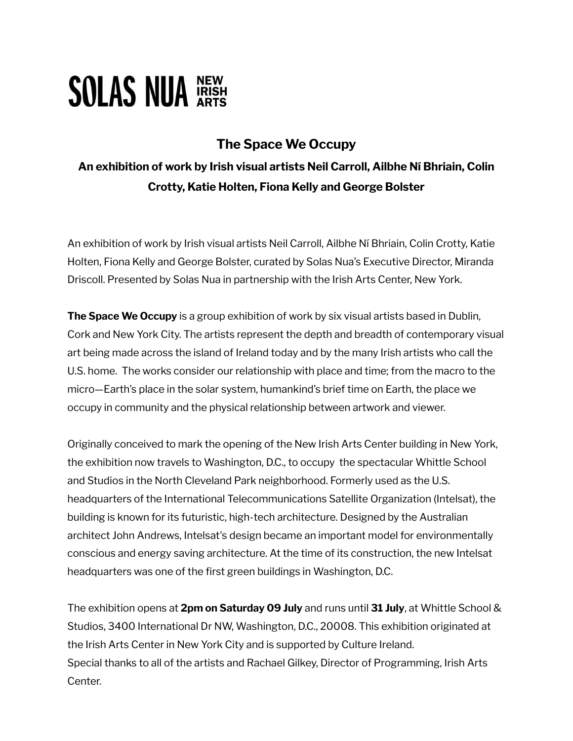# **SOLAS NUA RESH**

### **The Space We Occupy**

## **An exhibition of work by Irish visual artists Neil Carroll, Ailbhe Ní Bhriain, Colin Crotty, Katie Holten, Fiona Kelly and George Bolster**

An exhibition of work by Irish visual artists Neil Carroll, Ailbhe Ní Bhriain, Colin Crotty, Katie Holten, Fiona Kelly and George Bolster, curated by Solas Nua's Executive Director, Miranda Driscoll. Presented by Solas Nua in partnership with the Irish Arts Center, New York.

**The Space We Occupy** is a group exhibition of work by six visual artists based in Dublin, Cork and New York City. The artists represent the depth and breadth of contemporary visual art being made across the island of Ireland today and by the many Irish artists who call the U.S. home. The works consider our relationship with place and time; from the macro to the micro—Earth's place in the solar system, humankind's brief time on Earth, the place we occupy in community and the physical relationship between artwork and viewer.

Originally conceived to mark the opening of the New Irish Arts Center building in New York, the exhibition now travels to Washington, D.C., to occupy the spectacular Whittle School and Studios in the North Cleveland Park neighborhood. Formerly used as the U.S. headquarters of the International Telecommunications Satellite Organization (Intelsat), the building is known for its futuristic, high-tech architecture. Designed by the Australian architect John Andrews, Intelsat's design became an important model for environmentally conscious and energy saving architecture. At the time of its construction, the new Intelsat headquarters was one of the first green buildings in Washington, D.C.

The exhibition opens at **2pm on Saturday 09 July** and runs until **31 July**, at Whittle School & Studios, 3400 International Dr NW, Washington, D.C., 20008. This exhibition originated at the Irish Arts Center in New York City and is supported by Culture Ireland. Special thanks to all of the artists and Rachael Gilkey, Director of Programming, Irish Arts Center.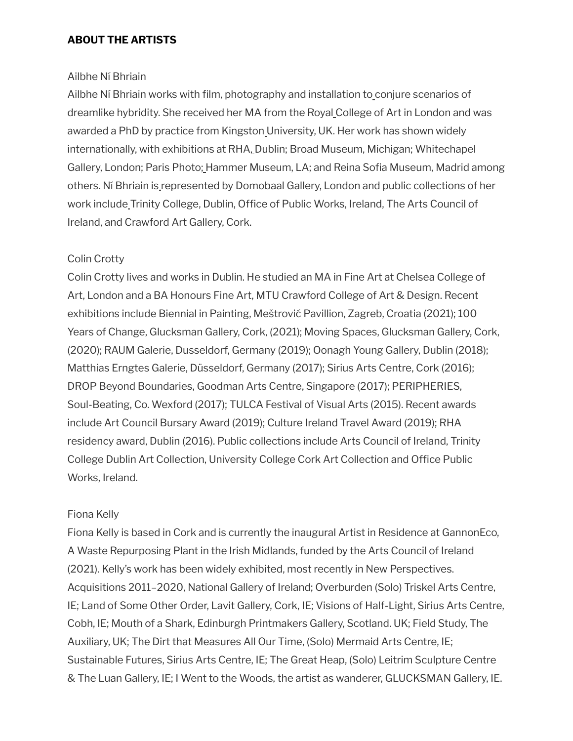#### **ABOUT THE ARTISTS**

#### Ailbhe Ní Bhriain

Ailbhe Ní Bhriain works with film, photography and installation to conjure scenarios of dreamlike hybridity. She received her MA from the Royal College of Art in London and was awarded a PhD by practice from Kingston University, UK. Her work has shown widely internationally, with exhibitions at RHA, Dublin; Broad Museum, Michigan; Whitechapel Gallery, London; Paris Photo; Hammer Museum, LA; and Reina Sofia Museum, Madrid among others. Ní Bhriain is represented by Domobaal Gallery, London and public collections of her work include Trinity College, Dublin, Office of Public Works, Ireland, The Arts Council of Ireland, and Crawford Art Gallery, Cork.

#### Colin Crotty

Colin Crotty lives and works in Dublin. He studied an MA in Fine Art at Chelsea College of Art, London and a BA Honours Fine Art, MTU Crawford College of Art & Design. Recent exhibitions include Biennial in Painting, Meštrović Pavillion, Zagreb, Croatia (2021); 100 Years of Change, Glucksman Gallery, Cork, (2021); Moving Spaces, Glucksman Gallery, Cork, (2020); RAUM Galerie, Dusseldorf, Germany (2019); Oonagh Young Gallery, Dublin (2018); Matthias Erngtes Galerie, Düsseldorf, Germany (2017); Sirius Arts Centre, Cork (2016); DROP Beyond Boundaries, Goodman Arts Centre, Singapore (2017); PERIPHERIES, Soul-Beating, Co. Wexford (2017); TULCA Festival of Visual Arts (2015). Recent awards include Art Council Bursary Award (2019); Culture Ireland Travel Award (2019); RHA residency award, Dublin (2016). Public collections include Arts Council of Ireland, Trinity College Dublin Art Collection, University College Cork Art Collection and Office Public Works, Ireland.

#### Fiona Kelly

Fiona Kelly is based in Cork and is currently the inaugural Artist in Residence at GannonEco, A Waste Repurposing Plant in the Irish Midlands, funded by the Arts Council of Ireland (2021). Kelly's work has been widely exhibited, most recently in New Perspectives. Acquisitions 2011–2020, National Gallery of Ireland; Overburden (Solo) Triskel Arts Centre, IE; Land of Some Other Order, Lavit Gallery, Cork, IE; Visions of Half-Light, Sirius Arts Centre, Cobh, IE; Mouth of a Shark, Edinburgh Printmakers Gallery, Scotland. UK; Field Study, The Auxiliary, UK; The Dirt that Measures All Our Time, (Solo) Mermaid Arts Centre, IE; Sustainable Futures, Sirius Arts Centre, IE; The Great Heap, (Solo) Leitrim Sculpture Centre & The Luan Gallery, IE; I Went to the Woods, the artist as wanderer, GLUCKSMAN Gallery, IE.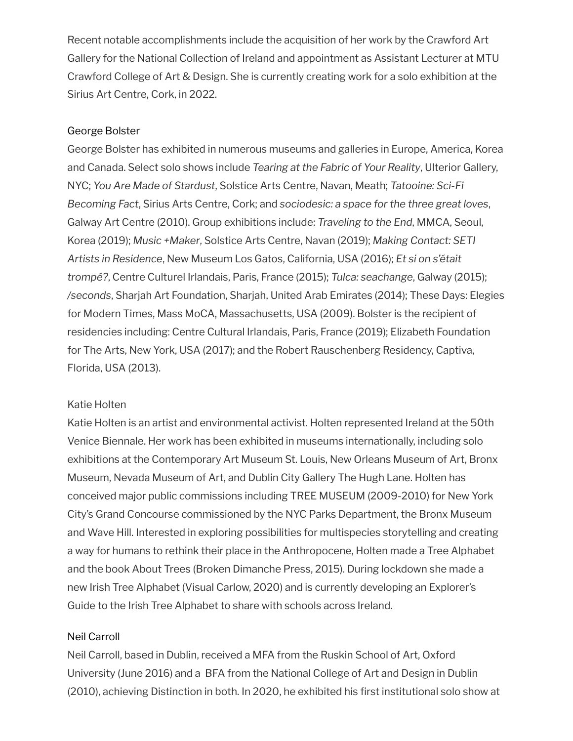Recent notable accomplishments include the acquisition of her work by the Crawford Art Gallery for the National Collection of Ireland and appointment as Assistant Lecturer at MTU Crawford College of Art & Design. She is currently creating work for a solo exhibition at the Sirius Art Centre, Cork, in 2022.

#### George Bolster

George Bolster has exhibited in numerous museums and galleries in Europe, America, Korea and Canada. Select solo shows include *Tearing at the Fabric of Your Reality*, Ulterior Gallery, NYC; *You Are Made of Stardust*, Solstice Arts Centre, Navan, Meath; *Tatooine: Sci-Fi Becoming Fact*, Sirius Arts Centre, Cork; and *sociodesic: a space for the three great loves*, Galway Art Centre (2010). Group exhibitions include: *Traveling to the End*, MMCA, Seoul, Korea (2019); *Music +Maker*, Solstice Arts Centre, Navan (2019); *Making Contact: SETI Artists in Residence*, New Museum Los Gatos, California, USA (2016); *Et si on s'était trompé?*, Centre Culturel Irlandais, Paris, France (2015); *Tulca: seachange*, Galway (2015); */seconds*, Sharjah Art Foundation, Sharjah, United Arab Emirates (2014); These Days: Elegies for Modern Times, Mass MoCA, Massachusetts, USA (2009). Bolster is the recipient of residencies including: Centre Cultural Irlandais, Paris, France (2019); Elizabeth Foundation for The Arts, New York, USA (2017); and the Robert Rauschenberg Residency, Captiva, Florida, USA (2013).

#### Katie Holten

Katie Holten is an artist and environmental activist. Holten represented Ireland at the 50th Venice Biennale. Her work has been exhibited in museums internationally, including solo exhibitions at the Contemporary Art Museum St. Louis, New Orleans Museum of Art, Bronx Museum, Nevada Museum of Art, and Dublin City Gallery The Hugh Lane. Holten has conceived major public commissions including TREE MUSEUM (2009-2010) for New York City's Grand Concourse commissioned by the NYC Parks Department, the Bronx Museum and Wave Hill. Interested in exploring possibilities for multispecies storytelling and creating a way for humans to rethink their place in the Anthropocene, Holten made a Tree Alphabet and the book About Trees (Broken Dimanche Press, 2015). During lockdown she made a new Irish Tree Alphabet (Visual Carlow, 2020) and is currently developing an Explorer's Guide to the Irish Tree Alphabet to share with schools across Ireland.

#### Neil Carroll

Neil Carroll, based in Dublin, received a MFA from the Ruskin School of Art, Oxford University (June 2016) and a BFA from the National College of Art and Design in Dublin (2010), achieving Distinction in both. In 2020, he exhibited his first institutional solo show at